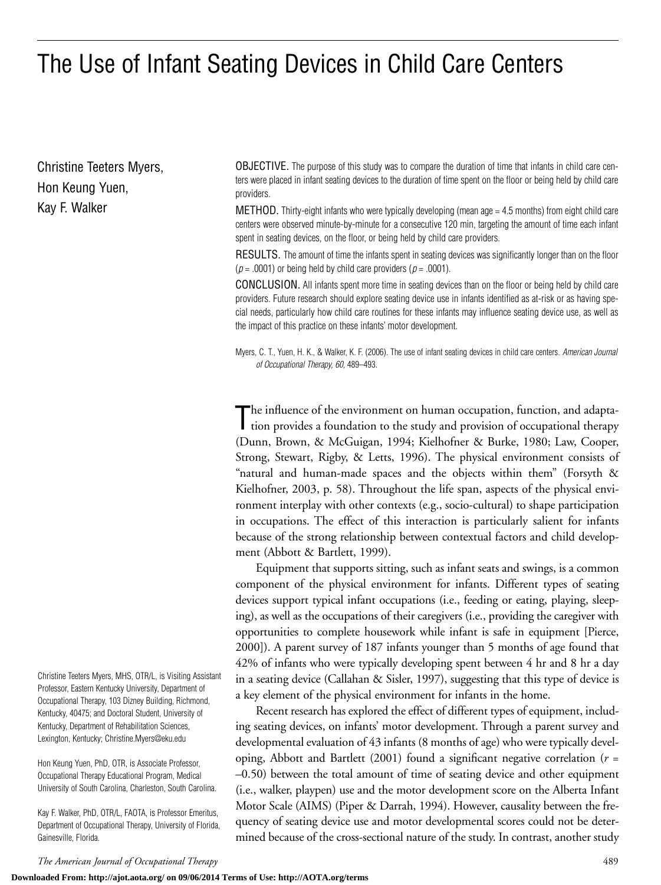# The Use of Infant Seating Devices in Child Care Centers

Christine Teeters Myers, Hon Keung Yuen, Kay F. Walker

OBJECTIVE. The purpose of this study was to compare the duration of time that infants in child care centers were placed in infant seating devices to the duration of time spent on the floor or being held by child care providers.

**METHOD.** Thirty-eight infants who were typically developing (mean age  $= 4.5$  months) from eight child care centers were observed minute-by-minute for a consecutive 120 min, targeting the amount of time each infant spent in seating devices, on the floor, or being held by child care providers.

RESULTS. The amount of time the infants spent in seating devices was significantly longer than on the floor  $(p = .0001)$  or being held by child care providers  $(p = .0001)$ .

CONCLUSION. All infants spent more time in seating devices than on the floor or being held by child care providers. Future research should explore seating device use in infants identified as at-risk or as having special needs, particularly how child care routines for these infants may influence seating device use, as well as the impact of this practice on these infants' motor development.

Myers, C. T., Yuen, H. K., & Walker, K. F. (2006). The use of infant seating devices in child care centers. *American Journal of Occupational Therapy, 60,* 489–493.

The influence of the environment on human occupation, function, and adaptation provides a foundation to the study and provision of occupational therapy tion provides a foundation to the study and provision of occupational therapy (Dunn, Brown, & McGuigan, 1994; Kielhofner & Burke, 1980; Law, Cooper, Strong, Stewart, Rigby, & Letts, 1996). The physical environment consists of "natural and human-made spaces and the objects within them" (Forsyth & Kielhofner, 2003, p. 58). Throughout the life span, aspects of the physical environment interplay with other contexts (e.g., socio-cultural) to shape participation in occupations. The effect of this interaction is particularly salient for infants because of the strong relationship between contextual factors and child development (Abbott & Bartlett, 1999).

Equipment that supports sitting, such as infant seats and swings, is a common component of the physical environment for infants. Different types of seating devices support typical infant occupations (i.e., feeding or eating, playing, sleeping), as well as the occupations of their caregivers (i.e., providing the caregiver with opportunities to complete housework while infant is safe in equipment [Pierce, 2000]). A parent survey of 187 infants younger than 5 months of age found that 42% of infants who were typically developing spent between 4 hr and 8 hr a day in a seating device (Callahan & Sisler, 1997), suggesting that this type of device is a key element of the physical environment for infants in the home.

Recent research has explored the effect of different types of equipment, including seating devices, on infants' motor development. Through a parent survey and developmental evaluation of 43 infants (8 months of age) who were typically developing, Abbott and Bartlett (2001) found a significant negative correlation (*r* = –0.50) between the total amount of time of seating device and other equipment (i.e., walker, playpen) use and the motor development score on the Alberta Infant Motor Scale (AIMS) (Piper & Darrah, 1994). However, causality between the frequency of seating device use and motor developmental scores could not be determined because of the cross-sectional nature of the study. In contrast, another study

Christine Teeters Myers, MHS, OTR/L, is Visiting Assistant Professor, Eastern Kentucky University, Department of Occupational Therapy, 103 Dizney Building, Richmond, Kentucky, 40475; and Doctoral Student, University of Kentucky, Department of Rehabilitation Sciences, Lexington, Kentucky; Christine.Myers@eku.edu

Hon Keung Yuen, PhD, OTR, is Associate Professor, Occupational Therapy Educational Program, Medical University of South Carolina, Charleston, South Carolina.

Kay F. Walker, PhD, OTR/L, FAOTA, is Professor Emeritus, Department of Occupational Therapy, University of Florida, Gainesville, Florida.

*The American Journal of Occupational Therapy* 489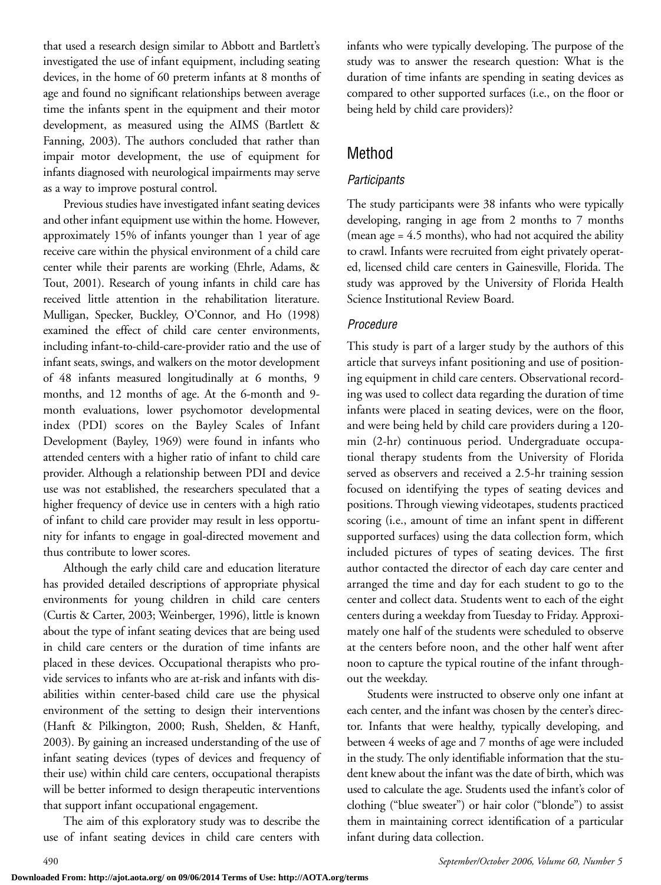that used a research design similar to Abbott and Bartlett's investigated the use of infant equipment, including seating devices, in the home of 60 preterm infants at 8 months of age and found no significant relationships between average time the infants spent in the equipment and their motor development, as measured using the AIMS (Bartlett & Fanning, 2003). The authors concluded that rather than impair motor development, the use of equipment for infants diagnosed with neurological impairments may serve as a way to improve postural control.

Previous studies have investigated infant seating devices and other infant equipment use within the home. However, approximately 15% of infants younger than 1 year of age receive care within the physical environment of a child care center while their parents are working (Ehrle, Adams, & Tout, 2001). Research of young infants in child care has received little attention in the rehabilitation literature. Mulligan, Specker, Buckley, O'Connor, and Ho (1998) examined the effect of child care center environments, including infant-to-child-care-provider ratio and the use of infant seats, swings, and walkers on the motor development of 48 infants measured longitudinally at 6 months, 9 months, and 12 months of age. At the 6-month and 9 month evaluations, lower psychomotor developmental index (PDI) scores on the Bayley Scales of Infant Development (Bayley, 1969) were found in infants who attended centers with a higher ratio of infant to child care provider. Although a relationship between PDI and device use was not established, the researchers speculated that a higher frequency of device use in centers with a high ratio of infant to child care provider may result in less opportunity for infants to engage in goal-directed movement and thus contribute to lower scores.

Although the early child care and education literature has provided detailed descriptions of appropriate physical environments for young children in child care centers (Curtis & Carter, 2003; Weinberger, 1996), little is known about the type of infant seating devices that are being used in child care centers or the duration of time infants are placed in these devices. Occupational therapists who provide services to infants who are at-risk and infants with disabilities within center-based child care use the physical environment of the setting to design their interventions (Hanft & Pilkington, 2000; Rush, Shelden, & Hanft, 2003). By gaining an increased understanding of the use of infant seating devices (types of devices and frequency of their use) within child care centers, occupational therapists will be better informed to design therapeutic interventions that support infant occupational engagement.

The aim of this exploratory study was to describe the use of infant seating devices in child care centers with

infants who were typically developing. The purpose of the study was to answer the research question: What is the duration of time infants are spending in seating devices as compared to other supported surfaces (i.e., on the floor or being held by child care providers)?

# Method

#### *Participants*

The study participants were 38 infants who were typically developing, ranging in age from 2 months to 7 months (mean age = 4.5 months), who had not acquired the ability to crawl. Infants were recruited from eight privately operated, licensed child care centers in Gainesville, Florida. The study was approved by the University of Florida Health Science Institutional Review Board.

#### *Procedure*

This study is part of a larger study by the authors of this article that surveys infant positioning and use of positioning equipment in child care centers. Observational recording was used to collect data regarding the duration of time infants were placed in seating devices, were on the floor, and were being held by child care providers during a 120 min (2-hr) continuous period. Undergraduate occupational therapy students from the University of Florida served as observers and received a 2.5-hr training session focused on identifying the types of seating devices and positions. Through viewing videotapes, students practiced scoring (i.e., amount of time an infant spent in different supported surfaces) using the data collection form, which included pictures of types of seating devices. The first author contacted the director of each day care center and arranged the time and day for each student to go to the center and collect data. Students went to each of the eight centers during a weekday from Tuesday to Friday. Approximately one half of the students were scheduled to observe at the centers before noon, and the other half went after noon to capture the typical routine of the infant throughout the weekday.

Students were instructed to observe only one infant at each center, and the infant was chosen by the center's director. Infants that were healthy, typically developing, and between 4 weeks of age and 7 months of age were included in the study. The only identifiable information that the student knew about the infant was the date of birth, which was used to calculate the age. Students used the infant's color of clothing ("blue sweater") or hair color ("blonde") to assist them in maintaining correct identification of a particular infant during data collection.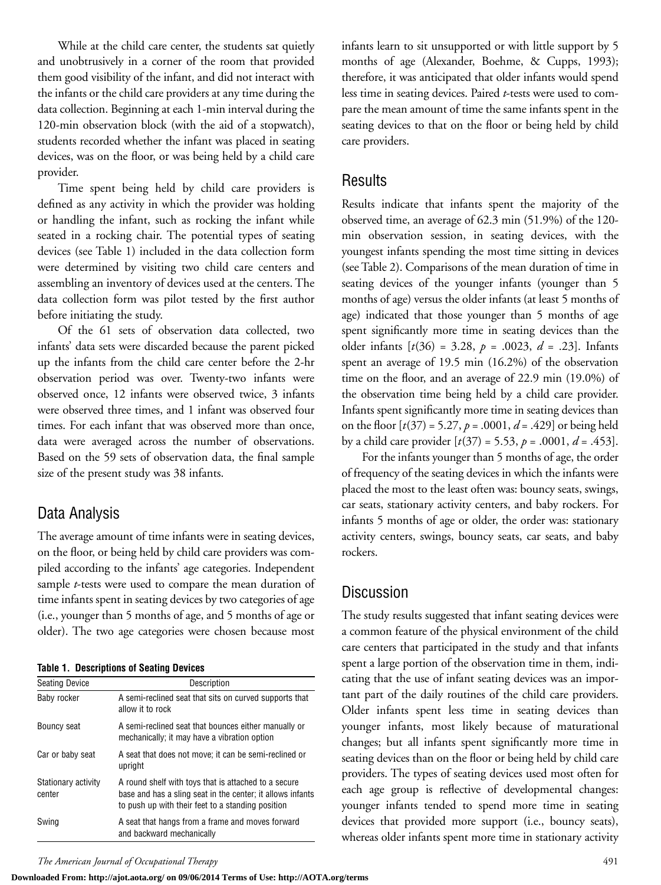While at the child care center, the students sat quietly and unobtrusively in a corner of the room that provided them good visibility of the infant, and did not interact with the infants or the child care providers at any time during the data collection. Beginning at each 1-min interval during the 120-min observation block (with the aid of a stopwatch), students recorded whether the infant was placed in seating devices, was on the floor, or was being held by a child care provider.

Time spent being held by child care providers is defined as any activity in which the provider was holding or handling the infant, such as rocking the infant while seated in a rocking chair. The potential types of seating devices (see Table 1) included in the data collection form were determined by visiting two child care centers and assembling an inventory of devices used at the centers. The data collection form was pilot tested by the first author before initiating the study.

Of the 61 sets of observation data collected, two infants' data sets were discarded because the parent picked up the infants from the child care center before the 2-hr observation period was over. Twenty-two infants were observed once, 12 infants were observed twice, 3 infants were observed three times, and 1 infant was observed four times. For each infant that was observed more than once, data were averaged across the number of observations. Based on the 59 sets of observation data, the final sample size of the present study was 38 infants.

#### Data Analysis

The average amount of time infants were in seating devices, on the floor, or being held by child care providers was compiled according to the infants' age categories. Independent sample *t*-tests were used to compare the mean duration of time infants spent in seating devices by two categories of age (i.e., younger than 5 months of age, and 5 months of age or older). The two age categories were chosen because most

**Table 1. Descriptions of Seating Devices**

| <b>Seating Device</b>         | Description<br>A semi-reclined seat that sits on curved supports that<br>allow it to rock                                                                               |  |  |  |  |
|-------------------------------|-------------------------------------------------------------------------------------------------------------------------------------------------------------------------|--|--|--|--|
| Baby rocker                   |                                                                                                                                                                         |  |  |  |  |
| Bouncy seat                   | A semi-reclined seat that bounces either manually or<br>mechanically; it may have a vibration option                                                                    |  |  |  |  |
| Car or baby seat              | A seat that does not move; it can be semi-reclined or<br>upright                                                                                                        |  |  |  |  |
| Stationary activity<br>center | A round shelf with toys that is attached to a secure<br>base and has a sling seat in the center; it allows infants<br>to push up with their feet to a standing position |  |  |  |  |
| Swina                         | A seat that hangs from a frame and moves forward<br>and backward mechanically                                                                                           |  |  |  |  |

infants learn to sit unsupported or with little support by 5 months of age (Alexander, Boehme, & Cupps, 1993); therefore, it was anticipated that older infants would spend less time in seating devices. Paired *t*-tests were used to compare the mean amount of time the same infants spent in the seating devices to that on the floor or being held by child care providers.

#### Results

Results indicate that infants spent the majority of the observed time, an average of 62.3 min (51.9%) of the 120 min observation session, in seating devices, with the youngest infants spending the most time sitting in devices (see Table 2). Comparisons of the mean duration of time in seating devices of the younger infants (younger than 5 months of age) versus the older infants (at least 5 months of age) indicated that those younger than 5 months of age spent significantly more time in seating devices than the older infants [*t*(36) = 3.28, *p* = .0023, *d* = .23]. Infants spent an average of 19.5 min (16.2%) of the observation time on the floor, and an average of 22.9 min (19.0%) of the observation time being held by a child care provider. Infants spent significantly more time in seating devices than on the floor  $[t(37) = 5.27, p = .0001, d = .429]$  or being held by a child care provider [*t*(37) = 5.53, *p* = .0001, *d* = .453].

For the infants younger than 5 months of age, the order of frequency of the seating devices in which the infants were placed the most to the least often was: bouncy seats, swings, car seats, stationary activity centers, and baby rockers. For infants 5 months of age or older, the order was: stationary activity centers, swings, bouncy seats, car seats, and baby rockers.

## **Discussion**

The study results suggested that infant seating devices were a common feature of the physical environment of the child care centers that participated in the study and that infants spent a large portion of the observation time in them, indicating that the use of infant seating devices was an important part of the daily routines of the child care providers. Older infants spent less time in seating devices than younger infants, most likely because of maturational changes; but all infants spent significantly more time in seating devices than on the floor or being held by child care providers. The types of seating devices used most often for each age group is reflective of developmental changes: younger infants tended to spend more time in seating devices that provided more support (i.e., bouncy seats), whereas older infants spent more time in stationary activity

*The American Journal of Occupational Therapy* 491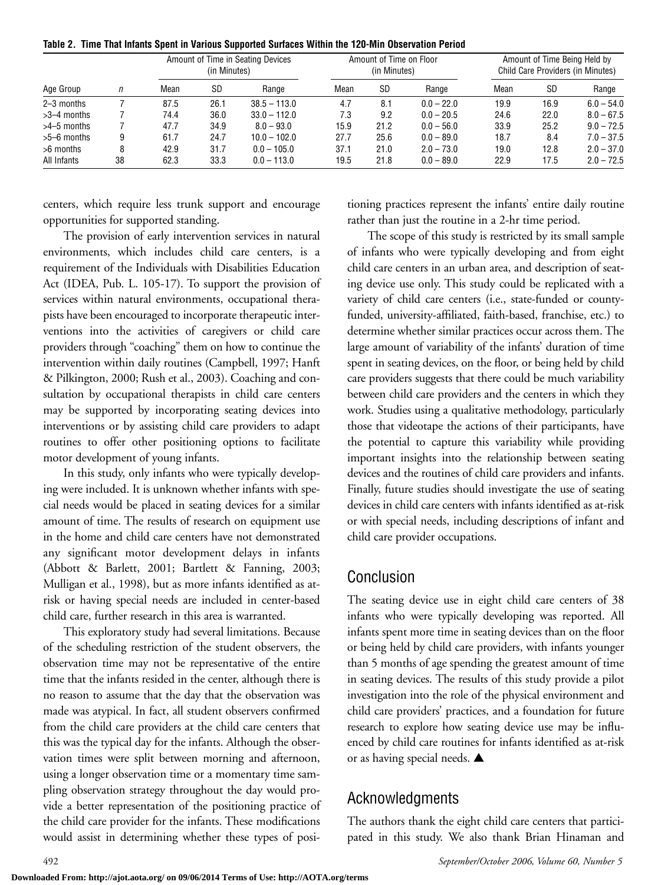|  | Table 2. Time That Infants Spent in Various Supported Surfaces Within the 120-Min Observation Period |  |  |  |  |  |  |
|--|------------------------------------------------------------------------------------------------------|--|--|--|--|--|--|
|--|------------------------------------------------------------------------------------------------------|--|--|--|--|--|--|

| Age Group     | n  | Amount of Time in Seating Devices<br>(in Minutes) |           | Amount of Time on Floor<br>(in Minutes) |      |           | Amount of Time Being Held by<br>Child Care Providers (in Minutes) |      |           |              |
|---------------|----|---------------------------------------------------|-----------|-----------------------------------------|------|-----------|-------------------------------------------------------------------|------|-----------|--------------|
|               |    | Mean                                              | <b>SD</b> | Range                                   | Mean | <b>SD</b> | Range                                                             | Mean | <b>SD</b> | Range        |
| 2-3 months    |    | 87.5                                              | 26.1      | $38.5 - 113.0$                          | 4.7  | 8.1       | $0.0 - 22.0$                                                      | 19.9 | 16.9      | $6.0 - 54.0$ |
| $>3-4$ months |    | 74.4                                              | 36.0      | $33.0 - 112.0$                          | 7.3  | 9.2       | $0.0 - 20.5$                                                      | 24.6 | 22.0      | $8.0 - 67.5$ |
| $>4-5$ months |    | 47.7                                              | 34.9      | $8.0 - 93.0$                            | 15.9 | 21.2      | $0.0 - 56.0$                                                      | 33.9 | 25.2      | $9.0 - 72.5$ |
| $>5-6$ months | 9  | 61.7                                              | 24.7      | $10.0 - 102.0$                          | 27.7 | 25.6      | $0.0 - 89.0$                                                      | 18.7 | 8.4       | $7.0 - 37.5$ |
| >6 months     | 8  | 42.9                                              | 31.7      | $0.0 - 105.0$                           | 37.1 | 21.0      | $2.0 - 73.0$                                                      | 19.0 | 12.8      | $2.0 - 37.0$ |
| All Infants   | 38 | 62.3                                              | 33.3      | $0.0 - 113.0$                           | 19.5 | 21.8      | $0.0 - 89.0$                                                      | 22.9 | 17.5      | $2.0 - 72.5$ |

centers, which require less trunk support and encourage opportunities for supported standing.

The provision of early intervention services in natural environments, which includes child care centers, is a requirement of the Individuals with Disabilities Education Act (IDEA, Pub. L. 105-17). To support the provision of services within natural environments, occupational therapists have been encouraged to incorporate therapeutic interventions into the activities of caregivers or child care providers through "coaching" them on how to continue the intervention within daily routines (Campbell, 1997; Hanft & Pilkington, 2000; Rush et al., 2003). Coaching and consultation by occupational therapists in child care centers may be supported by incorporating seating devices into interventions or by assisting child care providers to adapt routines to offer other positioning options to facilitate motor development of young infants.

In this study, only infants who were typically developing were included. It is unknown whether infants with special needs would be placed in seating devices for a similar amount of time. The results of research on equipment use in the home and child care centers have not demonstrated any significant motor development delays in infants (Abbott & Barlett, 2001; Bartlett & Fanning, 2003; Mulligan et al., 1998), but as more infants identified as atrisk or having special needs are included in center-based child care, further research in this area is warranted.

This exploratory study had several limitations. Because of the scheduling restriction of the student observers, the observation time may not be representative of the entire time that the infants resided in the center, although there is no reason to assume that the day that the observation was made was atypical. In fact, all student observers confirmed from the child care providers at the child care centers that this was the typical day for the infants. Although the observation times were split between morning and afternoon, using a longer observation time or a momentary time sampling observation strategy throughout the day would provide a better representation of the positioning practice of the child care provider for the infants. These modifications would assist in determining whether these types of positioning practices represent the infants' entire daily routine rather than just the routine in a 2-hr time period.

The scope of this study is restricted by its small sample of infants who were typically developing and from eight child care centers in an urban area, and description of seating device use only. This study could be replicated with a variety of child care centers (i.e., state-funded or countyfunded, university-affiliated, faith-based, franchise, etc.) to determine whether similar practices occur across them. The large amount of variability of the infants' duration of time spent in seating devices, on the floor, or being held by child care providers suggests that there could be much variability between child care providers and the centers in which they work. Studies using a qualitative methodology, particularly those that videotape the actions of their participants, have the potential to capture this variability while providing important insights into the relationship between seating devices and the routines of child care providers and infants. Finally, future studies should investigate the use of seating devices in child care centers with infants identified as at-risk or with special needs, including descriptions of infant and child care provider occupations.

#### Conclusion

The seating device use in eight child care centers of 38 infants who were typically developing was reported. All infants spent more time in seating devices than on the floor or being held by child care providers, with infants younger than 5 months of age spending the greatest amount of time in seating devices. The results of this study provide a pilot investigation into the role of the physical environment and child care providers' practices, and a foundation for future research to explore how seating device use may be influenced by child care routines for infants identified as at-risk or as having special needs. **▲**

## Acknowledgments

The authors thank the eight child care centers that participated in this study. We also thank Brian Hinaman and